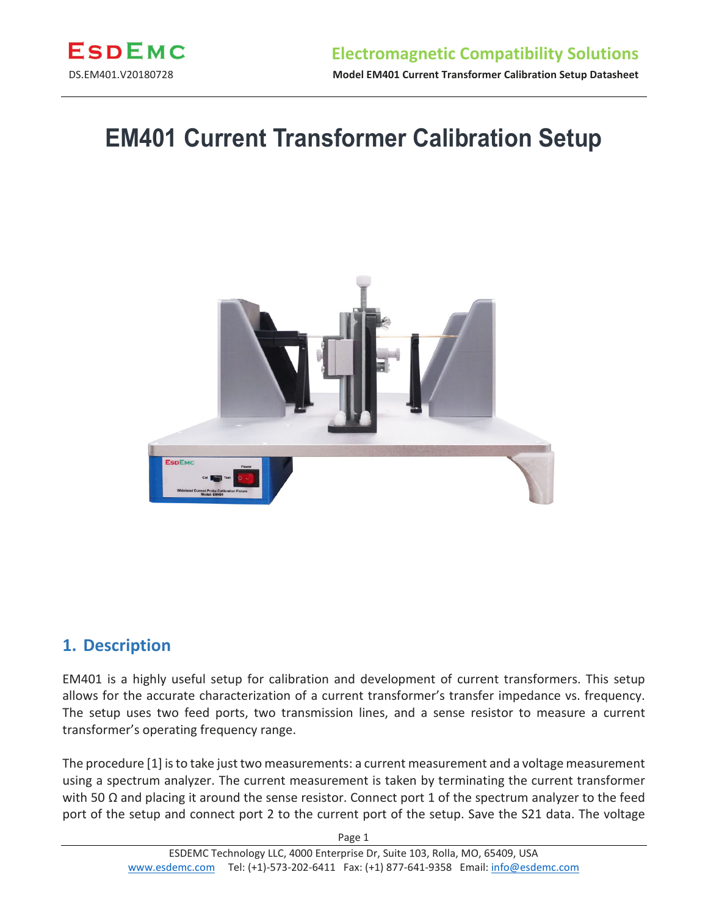

# **EM401 Current Transformer Calibration Setup**



#### **1. Description**

EM401 is a highly useful setup for calibration and development of current transformers. This setup allows for the accurate characterization of a current transformer's transfer impedance vs. frequency. The setup uses two feed ports, two transmission lines, and a sense resistor to measure a current transformer's operating frequency range.

The procedure [1] is to take just two measurements: a current measurement and a voltage measurement using a spectrum analyzer. The current measurement is taken by terminating the current transformer with 50  $\Omega$  and placing it around the sense resistor. Connect port 1 of the spectrum analyzer to the feed port of the setup and connect port 2 to the current port of the setup. Save the S21 data. The voltage

Page 1